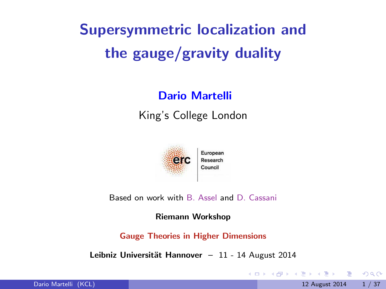# Supersymmetric localization and the gauge/gravity duality

#### Dario Martelli

King's College London



Based on work with B. Assel and D. Cassani

Riemann Workshop

Gauge Theories in Higher Dimensions

Leibniz Universität Hannover  $-11$  - 14 August 2014

<span id="page-0-0"></span>**KOD KARD KED KED B YOUR**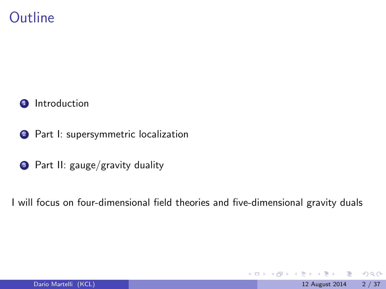# **Outline**



- 2 Part I: supersymmetric localization
- <sup>3</sup> Part II: gauge/gravity duality

I will focus on four-dimensional field theories and five-dimensional gravity duals

4 日下

 $QQ$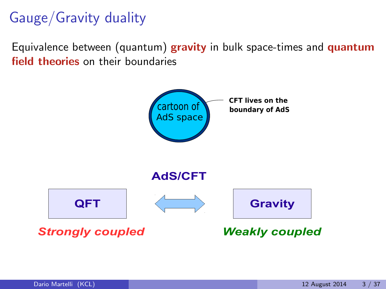# Gauge/Gravity duality

Equivalence between (quantum) gravity in bulk space-times and quantum field theories on their boundaries

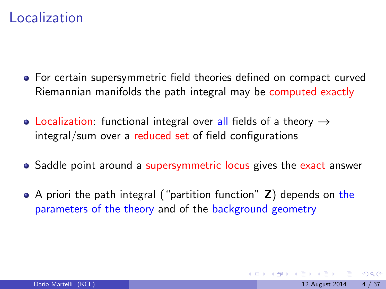## Localization

- For certain supersymmetric field theories defined on compact curved Riemannian manifolds the path integral may be computed exactly
- Localization: functional integral over all fields of a theory  $\rightarrow$ integral/sum over a reduced set of field configurations
- Saddle point around a supersymmetric locus gives the exact answer
- A priori the path integral ("partition function" **Z**) depends on the parameters of the theory and of the background geometry

 $200$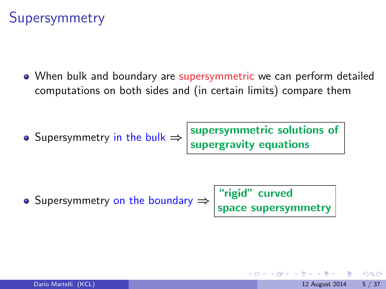# Supersymmetry

When bulk and boundary are supersymmetric we can perform detailed computations on both sides and (in certain limits) compare them

Supersymmetry in the bulk  $\Rightarrow$  supersymmetric solutions of supergravity equations

Supersymmetry on the boundary  $\Rightarrow$  "rigid" curved space supersymmetry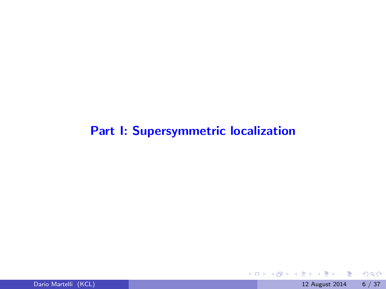#### Part I: Supersymmetric localization



重

 $2990$ 

イロト イ御 トメ ミトメ 毛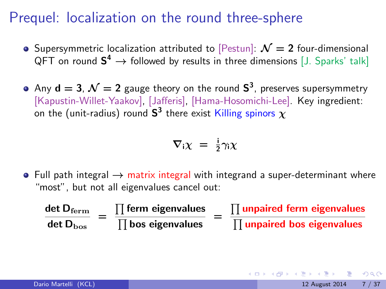# Prequel: localization on the round three-sphere

- Supersymmetric localization attributed to [Pestun]:  $\mathcal{N}=2$  four-dimensional QFT on round  $\textsf{S}^4 \rightarrow$  followed by results in three dimensions [J. Sparks' talk]
- Any  $\mathsf{d}=3$ ,  $\mathcal{N}=2$  gauge theory on the round  $\mathsf{S}^3$ , preserves supersymmetry [Kapustin-Willet-Yaakov], [Jafferis], [Hama-Hosomichi-Lee]. Key ingredient: on the (unit-radius) round  $\textsf{S}^3$  there exist Killing spinors  $\chi$

$$
\nabla_i \chi = \frac{i}{2} \gamma_i \chi
$$

• Full path integral  $\rightarrow$  matrix integral with integrand a super-determinant where "most", but not all eigenvalues cancel out:

| det D $_{\rm ferm}$  | $\prod$ ferm eigenvalues | $\prod$ unpaired ferm eigenvalues |
|----------------------|--------------------------|-----------------------------------|
| $det D_{\text{bos}}$ | $\prod$ bos eigenvalues  | $\prod$ unpaired bos eigenvalues  |

 $\Omega$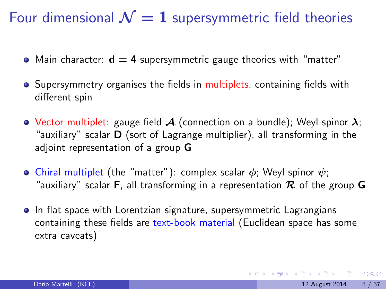Four dimensional  $\mathcal{N} = 1$  supersymmetric field theories

- Main character:  $d = 4$  supersymmetric gauge theories with "matter"
- **•** Supersymmetry organises the fields in multiplets, containing fields with different spin
- Vector multiplet: gauge field  $A$  (connection on a bundle); Weyl spinor  $\lambda$ ; "auxiliary" scalar D (sort of Lagrange multiplier), all transforming in the adjoint representation of a group G
- Chiral multiplet (the "matter"): complex scalar  $\phi$ ; Weyl spinor  $\psi$ ; "auxiliary" scalar **F**, all transforming in a representation  $\mathcal{R}$  of the group **G**
- **•** In flat space with Lorentzian signature, supersymmetric Lagrangians containing these fields are text-book material (Euclidean space has some extra caveats)

 $\Omega$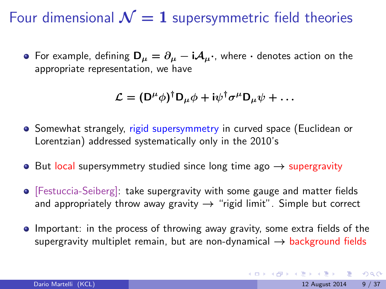Four dimensional  $\mathcal{N} = 1$  supersymmetric field theories

• For example, defining  $D_{\mu} = \partial_{\mu} - iA_{\mu}$ , where  $\cdot$  denotes action on the appropriate representation, we have

$$
\mathcal{L} = (\mathsf{D}^{\mu} \phi)^{\dagger} \mathsf{D}_{\mu} \phi + i \psi^{\dagger} \sigma^{\mu} \mathsf{D}_{\mu} \psi + \dots
$$

- **•** Somewhat strangely, rigid supersymmetry in curved space (Euclidean or Lorentzian) addressed systematically only in the 2010's
- $\bullet$  But local supersymmetry studied since long time ago  $\rightarrow$  supergravity
- [Festuccia-Seiberg]: take supergravity with some gauge and matter fields and appropriately throw away gravity  $\rightarrow$  "rigid limit". Simple but correct
- Important: in the process of throwing away gravity, some extra fields of the supergravity multiplet remain, but are non-dynamical  $\rightarrow$  background fields

 $\Omega$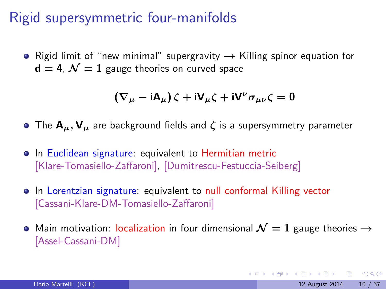# Rigid supersymmetric four-manifolds

• Rigid limit of "new minimal" supergravity  $\rightarrow$  Killing spinor equation for  $d = 4$ ,  $\mathcal{N} = 1$  gauge theories on curved space

$$
(\nabla_{\mu} - \mathrm{i} A_{\mu}) \zeta + \mathrm{i} V_{\mu} \zeta + \mathrm{i} V^{\nu} \sigma_{\mu \nu} \zeta = 0
$$

- The  $A_\mu, V_\mu$  are background fields and  $\zeta$  is a supersymmetry parameter
- In Euclidean signature: equivalent to Hermitian metric [Klare-Tomasiello-Zaffaroni], [Dumitrescu-Festuccia-Seiberg]
- In Lorentzian signature: equivalent to null conformal Killing vector [Cassani-Klare-DM-Tomasiello-Zaffaroni]
- Main motivation: localization in four dimensional  $\mathcal{N} = 1$  gauge theories  $\rightarrow$ [Assel-Cassani-DM]

**KOD KARD KED KED E VAN**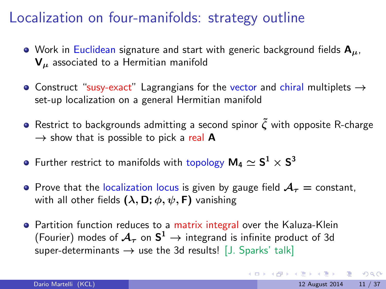# Localization on four-manifolds: strategy outline

- Work in Euclidean signature and start with generic background fields  $A_{\mu}$ , V<sub>u</sub> associated to a Hermitian manifold
- Construct "susy-exact" Lagrangians for the vector and chiral multiplets  $\rightarrow$ set-up localization on a general Hermitian manifold
- **•** Restrict to backgrounds admitting a second spinor  $\tilde{\mathcal{C}}$  with opposite R-charge  $\rightarrow$  show that is possible to pick a real A
- Further restrict to manifolds with topology  $\mathsf{M}_{4}\simeq \mathsf{S}^{1}\times \mathsf{S}^{3}$
- **•** Prove that the localization locus is given by gauge field  $A<sub>r</sub> =$  constant, with all other fields  $(\lambda, D; \phi, \psi, F)$  vanishing
- Partition function reduces to a matrix integral over the Kaluza-Klein (Fourier) modes of  $\mathcal{A}_{\tau}$  on  $\textsf{S}^1\to$  integrand is infinite product of 3d super-determinants  $\rightarrow$  use the 3d results! [J. Sparks' talk]

 $QQ$ 

KONKAPIK KENYEN E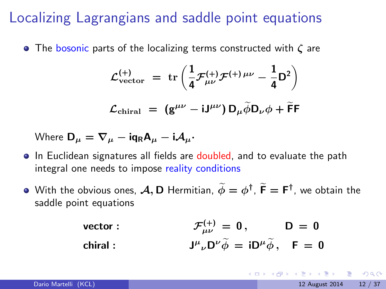# Localizing Lagrangians and saddle point equations

• The bosonic parts of the localizing terms constructed with  $\zeta$  are

$$
\mathcal{L}_{\text{vector}}^{(+)} = \text{tr}\left(\frac{1}{4}\mathcal{F}_{\mu\nu}^{(+)}\mathcal{F}^{(+)}\mu\nu - \frac{1}{4}D^2\right)
$$

$$
\mathcal{L}_{\text{chiral}} = (g^{\mu\nu} - iJ^{\mu\nu}) D_{\mu}\tilde{\phi}D_{\nu}\phi + \tilde{F}F
$$

Where 
$$
\mathbf{D}_{\mu} = \nabla_{\mu} - \mathrm{i} \mathbf{q}_{R} \mathbf{A}_{\mu} - \mathrm{i} \mathbf{A}_{\mu} \cdot
$$

- In Euclidean signatures all fields are doubled, and to evaluate the path integral one needs to impose reality conditions
- With the obvious ones,  $\mathcal{A}, \mathsf{D}$  Hermitian,  $\widetilde{\phi} = \phi^{\dagger}$ ,  $\widetilde{\mathsf{F}} = \mathsf{F}^{\dagger}$ , we obtain the saddle point equations
	- vector :  $\Gamma^{(+)}_{\mu\nu}\,=\,0\,,\hspace{1cm} \mathsf{D}\,=\,0\,,$ chiral :  $_{\nu}D^{\nu}\tilde{\phi} = iD^{\mu}\tilde{\phi}, \quad F = 0$

**KOD KARD KED KED B YOUR**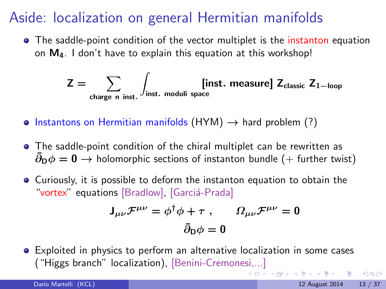# Aside: localization on general Hermitian manifolds

• The saddle-point condition of the vector multiplet is the instanton equation on  $M_4$ . I don't have to explain this equation at this workshop!

$$
Z = \sum_{\text{charge } n \text{ inst.}} \int_{\text{inst. moduli space}} [\text{inst. measure}] Z_{\text{classic}} Z_{1-\text{loop}}
$$

- $\bullet$  Instantons on Hermitian manifolds (HYM)  $\rightarrow$  hard problem (?)
- The saddle-point condition of the chiral multiplet can be rewritten as  $\partial_{\mathbf{D}}\phi = \mathbf{0} \rightarrow$  holomorphic sections of instanton bundle (+ further twist)
- Curiously, it is possible to deform the instanton equation to obtain the "vortex" equations [Bradlow], [Garciá-Prada]

$$
\mathsf{J}_{\mu\nu}\mathcal{F}^{\mu\nu} = \phi^{\dagger}\phi + \tau , \qquad \Omega_{\mu\nu}\mathcal{F}^{\mu\nu} = 0
$$

$$
\bar{\partial}_{\mathsf{D}}\phi = 0
$$

Exploited in physics to perform an alternative localization in some cases ("Higgs branch" localization), [Benini-Cremonesi,...]

 $QQ$ 

イロト イ母 トイヨ トイヨト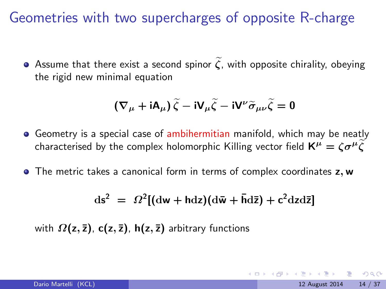Geometries with two supercharges of opposite R-charge

Assume that there exist a second spinor  $\tilde{\zeta}$ , with opposite chirality, obeying the rigid new minimal equation

$$
\left(\nabla_{\mu} + \mathrm{i} A_{\mu}\right) \widetilde{\zeta} - \mathrm{i} V_{\mu} \widetilde{\zeta} - \mathrm{i} V^{\nu} \widetilde{\sigma}_{\mu \nu} \widetilde{\zeta} = 0
$$

- Geometry is a special case of ambihermitian manifold, which may be neatly characterised by the complex holomorphic Killing vector field  $K^{\mu} = \zeta \sigma^{\mu} \tilde{\zeta}$
- The metric takes a canonical form in terms of complex coordinates z, w

$$
ds^2 = \Omega^2 [(\mathrm{d}w + \mathrm{hd}z)(\mathrm{d}\bar{w} + \bar{\mathrm{hd}}\bar{z}) + c^2 \mathrm{d}z \mathrm{d}\bar{z}]
$$

with  $\Omega(z, \bar{z})$ , **c**(z,  $\bar{z}$ ), **h**(z,  $\bar{z}$ ) arbitrary functions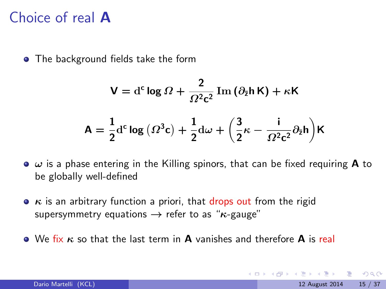#### Choice of real A

• The background fields take the form

$$
V = d^{c} \log \Omega + \frac{2}{\Omega^{2} c^{2}} \operatorname{Im} (\partial_{\bar{z}} h K) + \kappa K
$$

$$
A = \frac{1}{2} d^{c} \log (\Omega^{3} c) + \frac{1}{2} d\omega + \left(\frac{3}{2} \kappa - \frac{i}{\Omega^{2} c^{2}} \partial_{\bar{z}} h\right) K
$$

- $\bullet$   $\omega$  is a phase entering in the Killing spinors, that can be fixed requiring **A** to be globally well-defined
- $\bullet$   $\kappa$  is an arbitrary function a priori, that drops out from the rigid supersymmetry equations  $\rightarrow$  refer to as " $\kappa$ -gauge"
- $\bullet$  We fix  $\kappa$  so that the last term in **A** vanishes and therefore **A** is real

 $\Omega$ 

イロト イ母 トイヨ トイヨト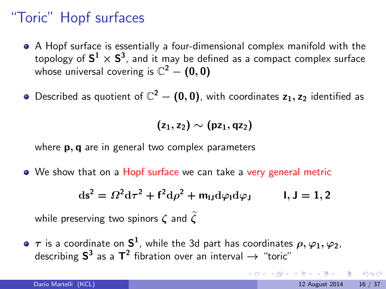# "Toric" Hopf surfaces

- A Hopf surface is essentially a four-dimensional complex manifold with the topology of  $\textsf{S}^1\times \textsf{S}^3$ , and it may be defined as a compact complex surface whose universal covering is  $\mathbb{C}^2-(0,0)$
- Described as quotient of  $\mathbb{C}^2-\bm{(0,0)}$ , with coordinates  $\bm{{z_1}},\bm{{z_2}}$  identified as

$$
(\mathsf{z}_1,\mathsf{z}_2)\sim(\mathsf{p}\mathsf{z}_1,\mathsf{q}\mathsf{z}_2)
$$

where **p**, **q** are in general two complex parameters

• We show that on a Hopf surface we can take a very general metric

$$
ds2 = \Omega2 d\tau2 + f2 d\rho2 + mIJd\varphiId\varphiJ \qquad 1, J = 1, 2
$$

while preserving two spinors  $\zeta$  and  $\widetilde{\zeta}$ 

 $\tau$  is a coordinate on  $\mathsf{S}^1$ , while the 3d part has coordinates  $\rho, \varphi_1, \varphi_2,$ describing  $\textsf{S}^3$  as a  $\textsf{T}^2$  fibration over an interval  $\rightarrow$  "toric"

 $\Omega$ 

 $A \oplus A \rightarrow A \oplus A \rightarrow A \oplus A$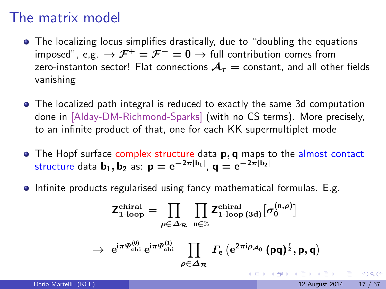#### The matrix model

- The localizing locus simplifies drastically, due to "doubling the equations imposed", e,g.  $\rightarrow {\cal F}^+ = {\cal F}^- = 0 \rightarrow$  full contribution comes from zero-instanton sector! Flat connections  $A<sub>\tau</sub>$  = constant, and all other fields vanishing
- The localized path integral is reduced to exactly the same 3d computation done in [Alday-DM-Richmond-Sparks] (with no CS terms). More precisely, to an infinite product of that, one for each KK supermultiplet mode
- $\bullet$  The Hopf surface complex structure data  $\mathbf{p}, \mathbf{q}$  maps to the almost contact structure data  $\mathbf{b}_1, \mathbf{b}_2$  as:  $\mathbf{p} = \mathrm{e}^{-2\pi |\mathbf{b}_1|}, \, \mathbf{q} = \mathrm{e}^{-2\pi |\mathbf{b}_2|}$
- **•** Infinite products regularised using fancy mathematical formulas. E.g.

$$
\mathsf{Z}_{1\text{-loop}}^{\text{chiral}} = \prod_{\rho \in \Delta_{\mathcal{R}}} \prod_{n \in \mathbb{Z}} \mathsf{Z}_{1\text{-loop (3d)}}^{\text{chiral}} [\sigma_0^{(n,\rho)}]
$$

$$
\rightarrow\ e^{i\pi \varPsi _{\rm chi}^{(0)}}\,e^{i\pi \varPsi _{\rm chi}^{(1)}}\,\prod_{\rho \in \varDelta _{\cal R}}\, \varGamma _{e}\left(e^{2\pi i\rho _{\cal A_{0}}}\left(\rho q\right)^{\frac{r}{2}},p,q\right)
$$

 $\Omega$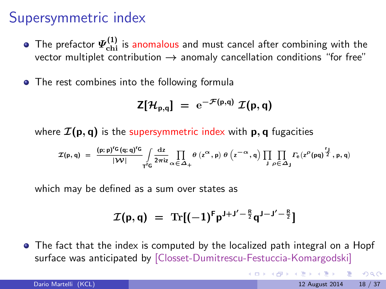# Supersymmetric index

- The prefactor  $\varPsi_\text{chi}^{(1)}$  is anomalous and must cancel after combining with the vector multiplet contribution  $\rightarrow$  anomaly cancellation conditions "for free"
- The rest combines into the following formula

$$
Z[\mathcal{H}_{p,q}] = e^{-\mathcal{F}(p,q)} \mathcal{I}(p,q)
$$

where  $\mathcal{I}(\mathbf{p}, \mathbf{q})$  is the supersymmetric index with  $\mathbf{p}, \mathbf{q}$  fugacities

$$
\mathcal{I}(p,q) \,\, = \,\, \frac{ (p;p)^{r_G} \, (q;q)^{r_G}}{|\, \mathcal{W} |} \int\limits_{T^r G} \frac{\mathrm{d} z}{2\pi \mathrm{i} z} \prod\limits_{\alpha \, \in \, \Delta_+} \theta \, \left( z^\alpha \, , p \right) \, \theta \, \left( z^{-\alpha} \, , q \right) \, \prod\limits_{J} \prod\limits_{\rho \, \in \, \Delta_J} \varGamma_e \big( z^\rho \, (pq)^{\frac{r_J}{2}} \, , p,q \big)
$$

which may be defined as a sum over states as

$$
\mathcal{I}(p,q) = \text{Tr}[(-1)^F p^{J+J'-\frac{R}{2}} q^{J-J'-\frac{R}{2}}]
$$

• The fact that the index is computed by the localized path integral on a Hopf surface was anticipated by [Closset-Dumitrescu-Festuccia-Komargodski]

 $QQ$ 

イロト イ母 トイヨ トイヨト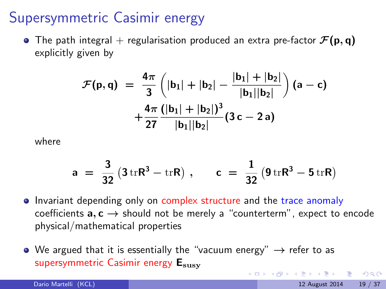## Supersymmetric Casimir energy

• The path integral + regularisation produced an extra pre-factor  $\mathcal{F}(\mathbf{p}, \mathbf{q})$ explicitly given by

$$
\mathcal{F}(\mathsf{p},\mathsf{q}) = \frac{4\pi}{3}\left(|\mathsf{b}_1| + |\mathsf{b}_2| - \frac{|\mathsf{b}_1| + |\mathsf{b}_2|}{|\mathsf{b}_1||\mathsf{b}_2|}\right)(\mathsf{a} - \mathsf{c}) + \frac{4\pi}{27}\frac{(|\mathsf{b}_1| + |\mathsf{b}_2|)^3}{|\mathsf{b}_1||\mathsf{b}_2|}(3\mathsf{c} - 2\mathsf{a})
$$

where

$$
a = \frac{3}{32} (3 \text{ tr} \mathsf{R}^3 - \text{ tr} \mathsf{R}) \ , \qquad c = \frac{1}{32} (9 \text{ tr} \mathsf{R}^3 - 5 \text{ tr} \mathsf{R})
$$

• Invariant depending only on complex structure and the trace anomaly coefficients  $a, c \rightarrow$  should not be merely a "counterterm", expect to encode physical/mathematical properties

 $\left\{ \begin{array}{ccc} 1 & 0 & 0 \\ 0 & 1 & 0 \end{array} \right.$ 

 $QQQ$ 

 $\bullet$  We argued that it is essentially the "vacuum energy"  $\rightarrow$  refer to as supersymmetric Casimir energy Esusy

Dario Martelli (KCL) 19 August 2014 19 / 37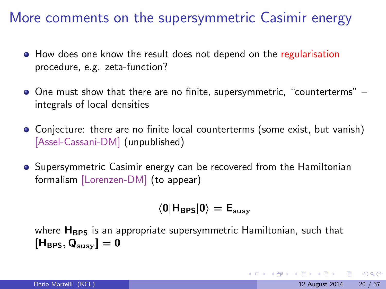More comments on the supersymmetric Casimir energy

- How does one know the result does not depend on the regularisation procedure, e.g. zeta-function?
- One must show that there are no finite, supersymmetric, "counterterms" integrals of local densities
- Conjecture: there are no finite local counterterms (some exist, but vanish) [Assel-Cassani-DM] (unpublished)
- **•** Supersymmetric Casimir energy can be recovered from the Hamiltonian formalism [Lorenzen-DM] (to appear)

$$
\langle 0|{\mathsf{H}}_{\mathsf{BPS}}|0\rangle = {\mathsf{E}}_{\mathrm{susy}}
$$

where  $H_{BPS}$  is an appropriate supersymmetric Hamiltonian, such that  $[H_{BPS}, Q_{susv}] = 0$ 

 $QQQ$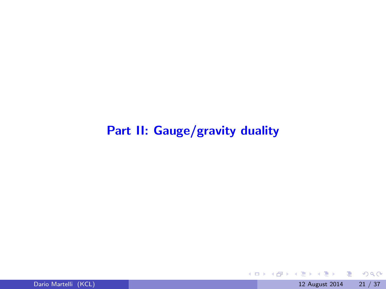#### Part II: Gauge/gravity duality

正々 メラ

**K ロ ト K 伊 ト K** 

重

 $2990$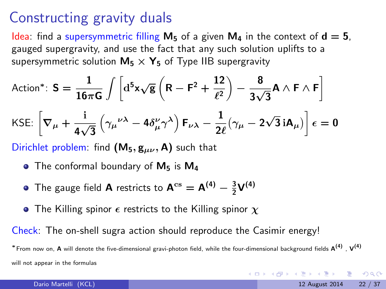#### Constructing gravity duals

Idea: find a supersymmetric filling  $M_5$  of a given  $M_4$  in the context of  $d = 5$ , gauged supergravity, and use the fact that any such solution uplifts to a supersymmetric solution  $M_5 \times Y_5$  of Type IIB supergravity

Action\*: 
$$
S = \frac{1}{16\pi G} \int \left[ d^5 x \sqrt{g} \left( R - F^2 + \frac{12}{\ell^2} \right) - \frac{8}{3\sqrt{3}} A \wedge F \wedge F \right]
$$
  
KSE:  $\left[ \nabla_{\mu} + \frac{i}{4\sqrt{3}} \left( \gamma_{\mu}{}^{\nu\lambda} - 4\delta^{\nu}_{\mu} \gamma^{\lambda} \right) F_{\nu\lambda} - \frac{1}{2\ell} (\gamma_{\mu} - 2\sqrt{3} iA_{\mu}) \right] \epsilon = 0$ 

Dirichlet problem: find  $(M_5, g_{\mu\nu}, A)$  such that

- $\bullet$  The conformal boundary of  $M_5$  is  $M_4$
- The gauge field **A** restricts to  $A^{cs} = A^{(4)} \frac{3}{2}V^{(4)}$
- The Killing spinor  $\epsilon$  restricts to the Killing spinor  $\chi$

Check: The on-shell sugra action should reproduce the Casimir energy!

\*From now on, A will denote the five-dimensional gravi-photon field, while the four-dimensional background fields A(<sup>4)</sup> , V(<sup>4)</sup> will not appear in the formulas

**KOD KARD KED KED B YOUR**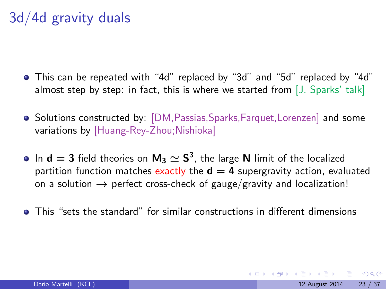# 3d/4d gravity duals

- This can be repeated with "4d" replaced by "3d" and "5d" replaced by "4d" almost step by step: in fact, this is where we started from [J. Sparks' talk]
- Solutions constructed by: [DM, Passias, Sparks, Farquet, Lorenzen] and some variations by [Huang-Rey-Zhou;Nishioka]
- In  $d = 3$  field theories on  $M_3 \simeq S^3$ , the large  $N$  limit of the localized partition function matches exactly the  $d = 4$  supergravity action, evaluated on a solution  $\rightarrow$  perfect cross-check of gauge/gravity and localization!
- This "sets the standard" for similar constructions in different dimensions

 $QQQ$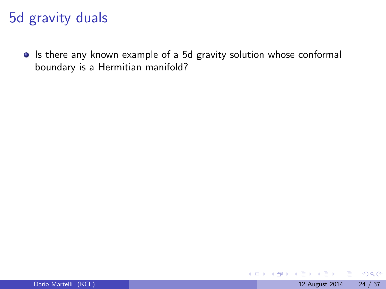# 5d gravity duals

• Is there any known example of a 5d gravity solution whose conformal boundary is a Hermitian manifold?

画

 $QQ$ 

 $\leftarrow$   $\Box$ 

→ 何 ▶ → ヨ ▶ → ヨ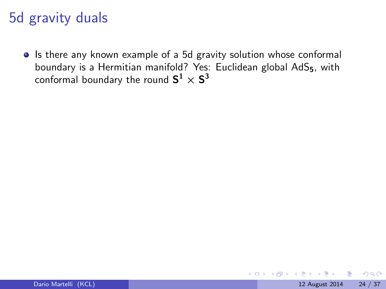# 5d gravity duals

• Is there any known example of a 5d gravity solution whose conformal boundary is a Hermitian manifold? Yes: Euclidean global AdS<sub>5</sub>, with conformal boundary the round  $\mathsf{S}^1 \times \mathsf{S}^3$ 

 $QQ$ 

4.0.3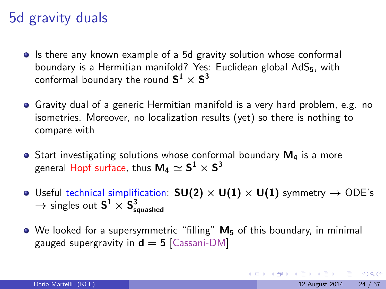# 5d gravity duals

- Is there any known example of a 5d gravity solution whose conformal boundary is a Hermitian manifold? Yes: Euclidean global AdS<sub>5</sub>, with conformal boundary the round  $\mathsf{S}^1 \times \mathsf{S}^3$
- Gravity dual of a generic Hermitian manifold is a very hard problem, e.g. no isometries. Moreover, no localization results (yet) so there is nothing to compare with
- $\bullet$  Start investigating solutions whose conformal boundary  $M_4$  is a more general Hopf surface, thus  $\mathsf{M}_{4}\simeq \mathsf{S}^{1}\times \mathsf{S}^{3}$
- Useful technical simplification:  $SU(2) \times U(1) \times U(1)$  symmetry  $\rightarrow$  ODE's  $\rightarrow$  singles out  $\textsf{S}^1\times \textsf{S}^3_\textsf{squashed}$
- We looked for a supersymmetric "filling" M<sup>5</sup> of this boundary, in minimal gauged supergravity in  $d = 5$  [Cassani-DM]

<span id="page-25-0"></span>**KOD KARD KED KED E VAN**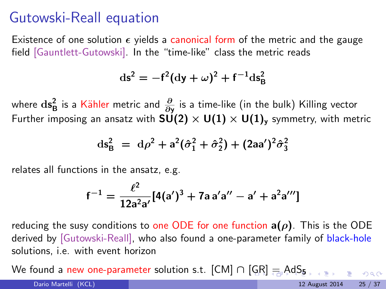#### Gutowski-Reall equation

Existence of one solution  $\epsilon$  yields a canonical form of the metric and the gauge field [Gauntlett-Gutowski]. In the "time-like" class the metric reads

$$
\mathrm{ds}^2 = -f^2(\mathrm{d}y + \omega)^2 + f^{-1}\mathrm{ds}^2_B
$$

where  $\mathrm{ds}^2_{\mathrm{B}}$  is a  $\mathrm{K}\ddot{\text{a}}$ hler metric and  $\frac{\partial}{\partial\mathrm{y}}$  is a time-like (in the bulk) Killing vector Further imposing an ansatz with  $SU(2) \times U(1) \times U(1)$ , symmetry, with metric

$$
ds_B^2 = d\rho^2 + a^2(\hat{\sigma}_1^2 + \hat{\sigma}_2^2) + (2aa')^2 \hat{\sigma}_3^2
$$

relates all functions in the ansatz, e.g.

$$
f^{-1} = \frac{\ell^2}{12a^2a'}[4(a')^3 + 7a a'a'' - a' + a^2a''']
$$

reducing the susy conditions to one ODE for one function  $a(\rho)$ . This is the ODE derived by [Gutowski-Reall], who also found a one-parameter family of black-hole solutions, i.e. with event horizon

Wefound a new one-parameter solution s.t.  $[CM] \cap [GR] = AdS_5$  $[CM] \cap [GR] = AdS_5$  $[CM] \cap [GR] = AdS_5$  $[CM] \cap [GR] = AdS_5$  $[CM] \cap [GR] = AdS_5$  $[CM] \cap [GR] = AdS_5$  $[CM] \cap [GR] = AdS_5$  $[CM] \cap [GR] = AdS_5$  $[CM] \cap [GR] = AdS_5$ 

<span id="page-26-0"></span> $000$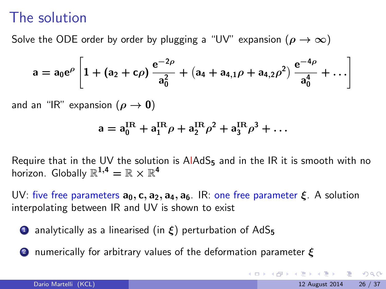#### The solution

Solve the ODE order by order by plugging a "UV" expansion  $(\rho \to \infty)$ 

$$
a = a_0 e^{\rho} \left[ 1 + (a_2 + c\rho) \frac{e^{-2\rho}}{a_0^2} + (a_4 + a_{4,1}\rho + a_{4,2}\rho^2) \frac{e^{-4\rho}}{a_0^4} + \ldots \right]
$$

and an "IR" expansion ( $\rho \rightarrow 0$ )

$$
a = a_0^{\text{IR}} + a_1^{\text{IR}} \rho + a_2^{\text{IR}} \rho^2 + a_3^{\text{IR}} \rho^3 + \dots
$$

Require that in the UV the solution is  $A I A dS<sub>5</sub>$  and in the IR it is smooth with no horizon. Globally  $\mathbb{R}^{1,4}=\mathbb{R}\times\mathbb{R}^{4}$ 

UV: five free parameters  $a_0$ , c,  $a_2$ ,  $a_4$ ,  $a_6$ . IR: one free parameter  $\xi$ . A solution interpolating between IR and UV is shown to exist

- **1** analytically as a linearised (in  $\xi$ ) perturbation of AdS<sub>5</sub>
- 2 numerically for arbitrary values of the deformation parameter  $\boldsymbol{\xi}$

<span id="page-27-0"></span>**KOD KARD KED KED B YOUR**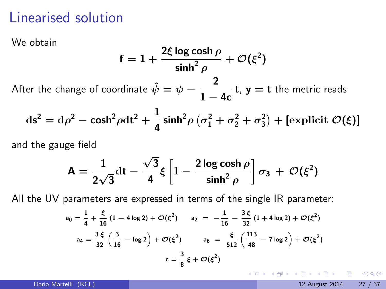# Linearised solution

We obtain

$$
f = 1 + \frac{2\xi \log \cosh \rho}{\sinh^2 \rho} + \mathcal{O}(\xi^2)
$$

After the change of coordinate  $\hat{\psi} = \psi - \frac{2}{1-\psi}$  $\frac{1}{1-4c}$  **t**, **y** = **t** the metric reads

$$
ds2 = d\rho2 - cosh2 \rho dt2 + \frac{1}{4} sinh2 \rho (\sigma12 + \sigma22 + \sigma32) + [explicit  $\mathcal{O}(\xi)$ ]
$$

and the gauge field

$$
A = \frac{1}{2\sqrt{3}}dt - \frac{\sqrt{3}}{4}\xi \left[1 - \frac{2 \log \cosh \rho}{\sinh^2 \rho}\right] \sigma_3 + \mathcal{O}(\xi^2)
$$

All the UV parameters are expressed in terms of the single IR parameter:

$$
a_0 = \frac{1}{4} + \frac{\xi}{16} (1 - 4 \log 2) + \mathcal{O}(\xi^2) \qquad a_2 = -\frac{1}{16} - \frac{3 \xi}{32} (1 + 4 \log 2) + \mathcal{O}(\xi^2)
$$
  

$$
a_4 = \frac{3 \xi}{32} \left( \frac{3}{16} - \log 2 \right) + \mathcal{O}(\xi^2) \qquad a_6 = \frac{\xi}{512} \left( \frac{113}{48} - 7 \log 2 \right) + \mathcal{O}(\xi^2)
$$
  

$$
c = \frac{3}{8} \xi + \mathcal{O}(\xi^2)
$$

 $\Omega$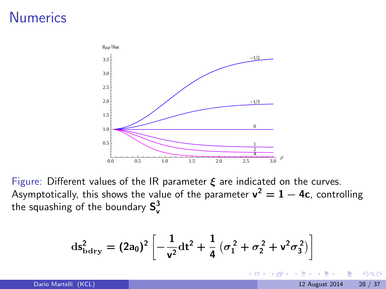# **Numerics**



Figure: Different values of the IR parameter  $\xi$  are indicated on the curves. Asymptotically, this shows the value of the parameter  $\mathsf{v}^2 = 1-4\mathsf{c}$ , controlling the squashing of the boundary  $\textsf{S}_{\textsf{v}}^3$ 

$$
\mathrm{d} s_{\mathrm{bdry}}^2 = (2a_0)^2 \left[ -\frac{1}{v^2} \mathrm{d} t^2 + \frac{1}{4} \left( \sigma_1^2 + \sigma_2^2 + v^2 \sigma_3^2 \right) \right]
$$

4.0.3

 $\Omega$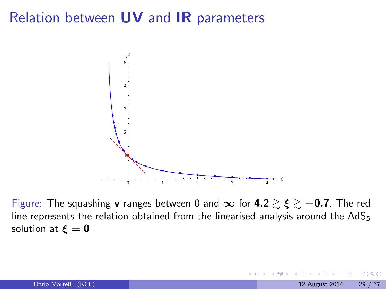#### Relation between UV and IR parameters



Figure: The squashing v ranges between 0 and ∞ for  $4.2 \gtrsim \xi \gtrsim -0.7$ . The red line represents the relation obtained from the linearised analysis around the  $AdS_5$ solution at  $\xi = 0$ 

4.0.3

 $\Omega$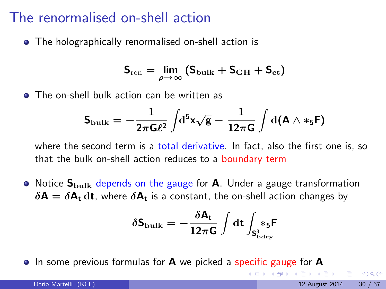#### The renormalised on-shell action

• The holographically renormalised on-shell action is

$$
S_{\rm ren} = \lim_{\rho \to \infty} \left( S_{\rm bulk} + S_{\rm GH} + S_{\rm ct} \right)
$$

**• The on-shell bulk action can be written as** 

$$
\mathsf{S}_{\mathrm{bulk}} = -\frac{1}{2\pi \mathsf{G} \ell^2} \int \!\! \mathrm{d}^5 \mathsf{x} \sqrt{\mathsf{g}} - \frac{1}{12\pi \mathsf{G}} \int \mathrm{d}(\mathsf{A} \wedge \ast_5 \mathsf{F})
$$

where the second term is a total derivative. In fact, also the first one is, so that the bulk on-shell action reduces to a boundary term

 $\bullet$  Notice  $S_{\text{bulk}}$  depends on the gauge for **A**. Under a gauge transformation  $\delta {\sf A} = \delta {\sf A}_{\sf t}$  dt, where  $\delta {\sf A}_{\sf t}$  is a constant, the on-shell action changes by

δSbulk = − δA<sup>t</sup> 12πG Z dt Z S 3 bdry ∗5F

• In some previous formulas for **A** we picked a specific gauge for **A** 

 $\Omega$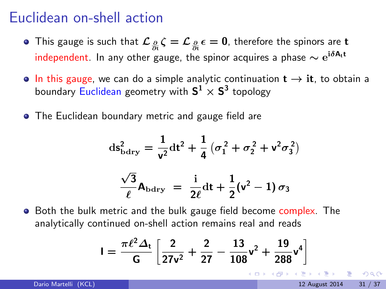#### Euclidean on-shell action

- This gauge is such that  $\mathcal{L}_\frac{\partial}{\partial \zeta}\zeta=\mathcal{L}_\frac{\partial}{\partial \zeta}\epsilon=0$ , therefore the spinors are  ${\bf t}$ independent. In any other gauge, the spinor acquires a phase  $\sim e^{i\delta A_t t}$
- In this gauge, we can do a simple analytic continuation  $t \rightarrow it$ , to obtain a boundary  $\mathsf{Euclidean}$  geometry with  $\mathsf{S}^1 \times \mathsf{S}^3$  topology
- **•** The Euclidean boundary metric and gauge field are

$$
ds_{\text{bdry}}^2 = \frac{1}{v^2} dt^2 + \frac{1}{4} (\sigma_1^2 + \sigma_2^2 + v^2 \sigma_3^2)
$$

$$
\frac{\sqrt{3}}{\ell} \mathbf{A}_{\text{bdry}} = \frac{i}{2\ell} dt + \frac{1}{2} (v^2 - 1) \sigma_3
$$

**•** Both the bulk metric and the bulk gauge field become complex. The analytically continued on-shell action remains real and reads

$$
I = \frac{\pi \ell^2 \Delta_t}{G} \left[ \frac{2}{27v^2} + \frac{2}{27} - \frac{13}{108}v^2 + \frac{19}{288}v^4 \right]
$$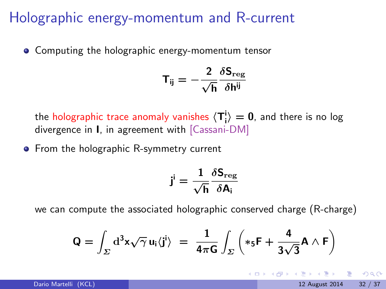#### Holographic energy-momentum and R-current

• Computing the holographic energy-momentum tensor

$$
\mathsf{T}_{\mathsf{i}\mathsf{j}} = -\frac{2}{\sqrt{\mathsf{h}}}\frac{\delta \mathsf{S}_{\mathrm{reg}}}{\delta \mathsf{h}^{\mathsf{i}\mathsf{j}}}
$$

the holographic trace anomaly vanishes  $\langle T_i^i \rangle = 0$ , and there is no log divergence in I, in agreement with [Cassani-DM]

• From the holographic R-symmetry current

$$
\mathbf{j}^{\mathsf{i}} = \frac{1}{\sqrt{\mathsf{h}}} \frac{\delta \mathsf{S}_{\mathrm{reg}}}{\delta \mathsf{A}_{\mathsf{i}}}
$$

we can compute the associated holographic conserved charge (R-charge)

$$
Q = \int_{\Sigma} d^3x \sqrt{\gamma} u_i \langle j^i \rangle = \frac{1}{4\pi G} \int_{\Sigma} \left( *_5 F + \frac{4}{3\sqrt{3}} A \wedge F \right)
$$

 $QQQ$ 

KONKAPIK KENYEN E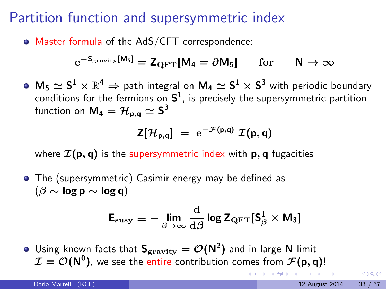# Partition function and supersymmetric index

Master formula of the AdS/CFT correspondence:

$$
e^{-S_{\rm gravity}[M_5]} = Z_{\rm QFT}[M_4 = \partial M_5] \quad \text{for} \quad N \to \infty
$$

 $\mathsf{M}_5\simeq \mathsf{S}^1\times\mathbb{R}^4 \Rightarrow$  path integral on  $\mathsf{M}_4\simeq \mathsf{S}^1\times \mathsf{S}^3$  with periodic boundary conditions for the fermions on  $\mathsf{S}^1$ , is precisely the supersymmetric partition function on  $\mathsf{M}_{4}=\mathcal{H}_{\mathsf{p},\mathsf{q}}\simeq \mathsf{S}^{3}$ 

$$
Z[\mathcal{H}_{p,q}] = e^{-\mathcal{F}(p,q)} \mathcal{I}(p,q)
$$

where  $\mathcal{I}(\mathbf{p}, \mathbf{q})$  is the supersymmetric index with p, q fugacities

The (supersymmetric) Casimir energy may be defined as  $(\beta \sim \log p \sim \log q)$ 

$$
\mathsf{E}_{\mathrm{susy}} \equiv -\lim_{\beta \to \infty} \frac{\mathrm{d}}{\mathrm{d}\beta} \log \mathsf{Z}_{\mathrm{QFT}}[\mathsf{S}^1_{\beta} \times \mathsf{M}_3]
$$

Using known facts that  $\mathsf{S}_{\rm gravity} = \mathcal{O}(\mathsf{N}^2)$  and in large  $\mathsf N$  limit  $\mathcal{I} = \mathcal{O}(\mathsf{N}^0)$ , we see the entire contribution comes from  $\mathcal{F}(\mathsf{p},\mathsf{q})!$  $\mathbb{B} \rightarrow \mathbb{R} \oplus \mathbb{R}$ 

 $QQQ$ 

**4 ロト 4 何 ト 4**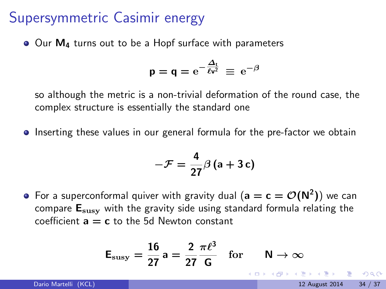#### Supersymmetric Casimir energy

Our M<sub>4</sub> turns out to be a Hopf surface with parameters

$$
p = q = e^{-\frac{\Delta_t}{\ell v^2}} \equiv e^{-\beta}
$$

so although the metric is a non-trivial deformation of the round case, the complex structure is essentially the standard one

**Inserting these values in our general formula for the pre-factor we obtain** 

$$
-\mathcal{F}=\frac{4}{27}\beta\left(a+3 c\right)
$$

For a superconformal quiver with gravity dual  $(\mathsf{a}=\mathsf{c}=\mathcal{O}(\mathsf{N}^2))$  we can compare  $E_{\text{susv}}$  with the gravity side using standard formula relating the coefficient  $a = c$  to the 5d Newton constant

$$
\mathsf{E}_{\text{susy}} = \frac{16}{27} \mathsf{a} = \frac{2}{27} \frac{\pi \ell^3}{\mathsf{G}} \quad \text{for} \quad \mathsf{N} \to \infty
$$
\nRatio Martelli (KCL)

\nRatio Martelli (KCL)

\n12 August 2014

\n34 / 3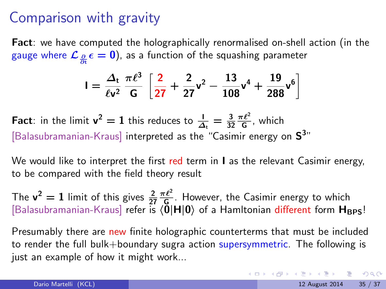#### Comparison with gravity

Fact: we have computed the holographically renormalised on-shell action (in the gauge where  $\mathcal{L}_{\frac{\partial}{\partial \theta}}\epsilon=0$ ), as a function of the squashing parameter ∂t

$$
I = \frac{\Delta_t}{\ell v^2} \frac{\pi \ell^3}{G} \left[ \frac{2}{27} + \frac{2}{27} v^2 - \frac{13}{108} v^4 + \frac{19}{288} v^6 \right]
$$

**Fact**: in the limit  $v^2 = 1$  this reduces to  $\frac{1}{\Delta_t} = \frac{3}{32} \frac{\pi \ell^2}{G}$ , which [Balasubramanian-Kraus] interpreted as the "Casimir energy on  $S^{3n}$ 

We would like to interpret the first red term in  $\mathsf I$  as the relevant Casimir energy, to be compared with the field theory result

The  $v^2 = 1$  limit of this gives  $\frac{2}{27} \frac{\pi \ell^2}{\xi}$ . However, the Casimir energy to which [Balasubramanian-Kraus] refer is  $\langle 0|H|0\rangle$  of a Hamltonian different form  $H_{\rm BPS}$ !

Presumably there are new finite holographic counterterms that must be included to render the full bulk+boundary sugra action supersymmetric. The following is just an example of how it might work...

**KOD KARD KED KED E VAN**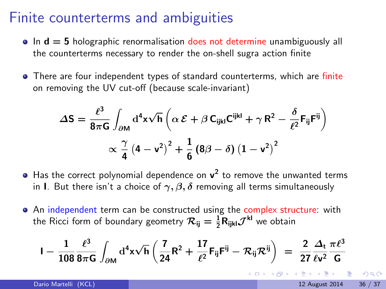#### Finite counterterms and ambiguities

- $\bullet$  In  $d = 5$  holographic renormalisation does not determine unambiguously all the counterterms necessary to render the on-shell sugra action finite
- There are four independent types of standard counterterms, which are finite on removing the UV cut-off (because scale-invariant)

$$
\Delta S = \frac{\ell^3}{8\pi G} \int_{\partial M} d^4x \sqrt{h} \left( \alpha \mathcal{E} + \beta C_{ijkl} C^{ijkl} + \gamma R^2 - \frac{\delta}{\ell^2} F_{ij} F^{ij} \right) \times \frac{\gamma}{4} \left( 4 - v^2 \right)^2 + \frac{1}{6} \left( 8\beta - \delta \right) \left( 1 - v^2 \right)^2
$$

- Has the correct polynomial dependence on  $v^2$  to remove the unwanted terms in I. But there isn't a choice of  $\gamma$ ,  $\beta$ ,  $\delta$  removing all terms simultaneously
- An independent term can be constructed using the complex structure: with the Ricci form of boundary geometry  $\mathcal{R}_{ij}=\frac{1}{2}\mathsf{R}_{ijkl}\mathcal{J}^{\mathsf{kl}}$  we obtain

$$
I - \frac{1}{108} \frac{\ell^3}{8\pi G} \int_{\partial M} d^4 x \sqrt{h} \left( \frac{7}{24} R^2 + \frac{17}{\ell^2} F_{ij} F^{ij} - \mathcal{R}_{ij} \mathcal{R}^{ij} \right) \; = \; \frac{2}{27} \frac{\Delta_t}{\ell v^2} \frac{\pi \ell^3}{G}
$$

 $QQQ$